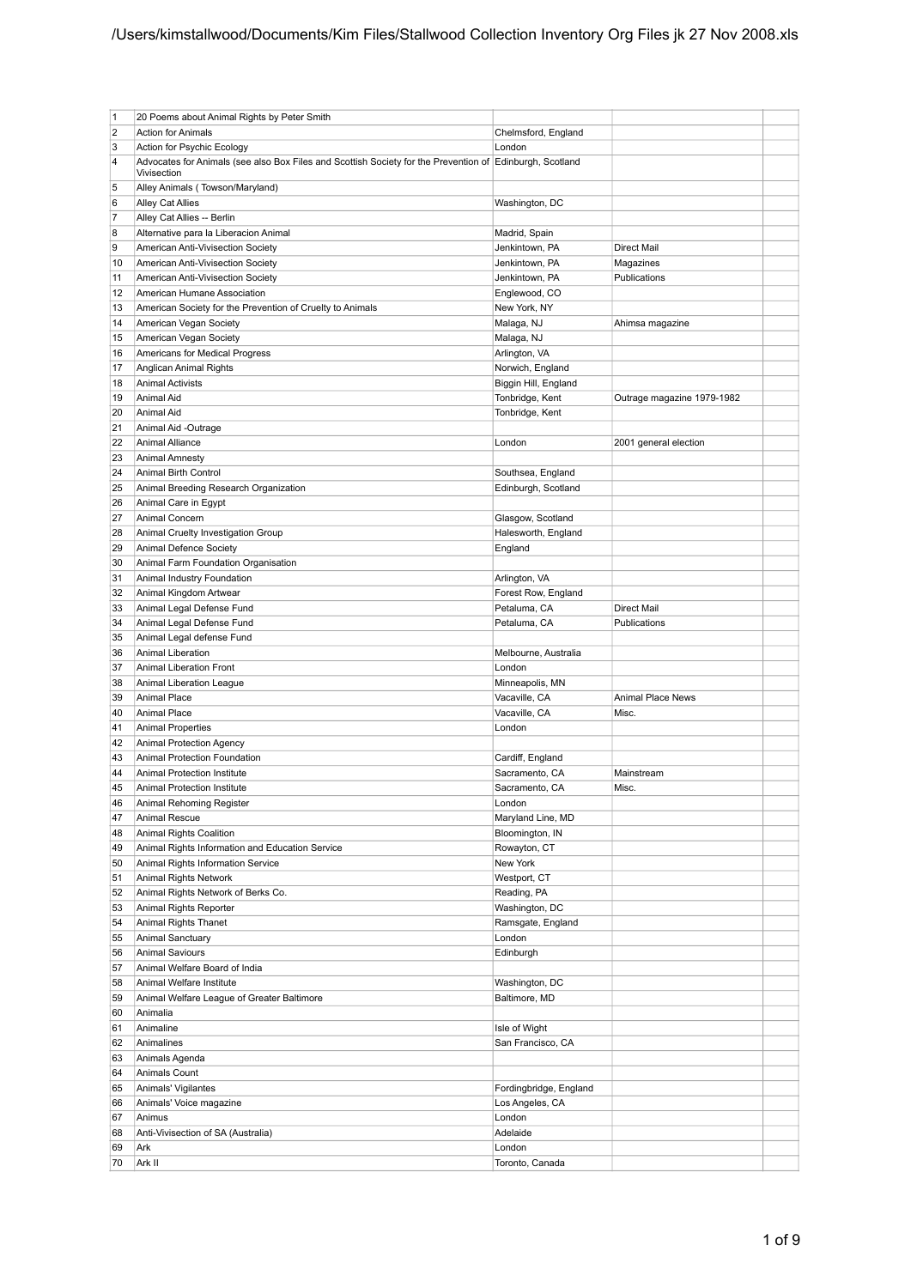| $\vert$ 1      | 20 Poems about Animal Rights by Peter Smith                                                              |                        |                            |  |
|----------------|----------------------------------------------------------------------------------------------------------|------------------------|----------------------------|--|
| $\overline{2}$ | <b>Action for Animals</b>                                                                                | Chelmsford, England    |                            |  |
| 3              | Action for Psychic Ecology                                                                               | London                 |                            |  |
| 4              | Advocates for Animals (see also Box Files and Scottish Society for the Prevention of Edinburgh, Scotland |                        |                            |  |
|                | Vivisection                                                                                              |                        |                            |  |
| 5              | Alley Animals (Towson/Maryland)                                                                          |                        |                            |  |
| 6              | Alley Cat Allies                                                                                         | Washington, DC         |                            |  |
|                |                                                                                                          |                        |                            |  |
| $\overline{7}$ | Alley Cat Allies -- Berlin                                                                               |                        |                            |  |
| 8              | Alternative para la Liberacion Animal                                                                    | Madrid, Spain          |                            |  |
| 9              | American Anti-Vivisection Society                                                                        | Jenkintown, PA         | Direct Mail                |  |
| 10             | American Anti-Vivisection Society                                                                        | Jenkintown, PA         | Magazines                  |  |
| 11             | American Anti-Vivisection Society                                                                        | Jenkintown, PA         | Publications               |  |
|                |                                                                                                          |                        |                            |  |
| 12             | American Humane Association                                                                              | Englewood, CO          |                            |  |
| 13             | American Society for the Prevention of Cruelty to Animals                                                | New York, NY           |                            |  |
| 14             | American Vegan Society                                                                                   | Malaga, NJ             | Ahimsa magazine            |  |
| 15             | American Vegan Society                                                                                   | Malaga, NJ             |                            |  |
|                |                                                                                                          |                        |                            |  |
| 16             | Americans for Medical Progress                                                                           | Arlington, VA          |                            |  |
| 17             | Anglican Animal Rights                                                                                   | Norwich, England       |                            |  |
| 18             | <b>Animal Activists</b>                                                                                  | Biggin Hill, England   |                            |  |
| 19             | Animal Aid                                                                                               | Tonbridge, Kent        | Outrage magazine 1979-1982 |  |
|                |                                                                                                          |                        |                            |  |
| 20             | <b>Animal Aid</b>                                                                                        | Tonbridge, Kent        |                            |  |
| 21             | Animal Aid -Outrage                                                                                      |                        |                            |  |
| 22             | <b>Animal Alliance</b>                                                                                   | London                 | 2001 general election      |  |
| 23             | <b>Animal Amnesty</b>                                                                                    |                        |                            |  |
|                |                                                                                                          |                        |                            |  |
| 24             | <b>Animal Birth Control</b>                                                                              | Southsea, England      |                            |  |
| 25             | Animal Breeding Research Organization                                                                    | Edinburgh, Scotland    |                            |  |
| 26             | Animal Care in Egypt                                                                                     |                        |                            |  |
| 27             | Animal Concern                                                                                           | Glasgow, Scotland      |                            |  |
| 28             | Animal Cruelty Investigation Group                                                                       |                        |                            |  |
|                |                                                                                                          | Halesworth, England    |                            |  |
| 29             | Animal Defence Society                                                                                   | England                |                            |  |
| 30             | Animal Farm Foundation Organisation                                                                      |                        |                            |  |
| 31             | Animal Industry Foundation                                                                               | Arlington, VA          |                            |  |
| 32             | Animal Kingdom Artwear                                                                                   | Forest Row, England    |                            |  |
|                |                                                                                                          |                        |                            |  |
| 33             | Animal Legal Defense Fund                                                                                | Petaluma, CA           | Direct Mail                |  |
| 34             | Animal Legal Defense Fund                                                                                | Petaluma, CA           | Publications               |  |
| 35             | Animal Legal defense Fund                                                                                |                        |                            |  |
| 36             | <b>Animal Liberation</b>                                                                                 | Melbourne, Australia   |                            |  |
|                |                                                                                                          |                        |                            |  |
| 37             | Animal Liberation Front                                                                                  | London                 |                            |  |
| 38             | Animal Liberation League                                                                                 | Minneapolis, MN        |                            |  |
| 39             | <b>Animal Place</b>                                                                                      | Vacaville, CA          | <b>Animal Place News</b>   |  |
| 40             | <b>Animal Place</b>                                                                                      | Vacaville, CA          | Misc.                      |  |
|                |                                                                                                          |                        |                            |  |
| 41             | <b>Animal Properties</b>                                                                                 | London                 |                            |  |
| 42             | <b>Animal Protection Agency</b>                                                                          |                        |                            |  |
| 43             | Animal Protection Foundation                                                                             | Cardiff, England       |                            |  |
| 44             | Animal Protection Institute                                                                              | Sacramento, CA         | Mainstream                 |  |
| 45             |                                                                                                          |                        |                            |  |
|                | <b>Animal Protection Institute</b>                                                                       | Sacramento, CA         | Misc.                      |  |
| 46             | Animal Rehoming Register                                                                                 | London                 |                            |  |
| 47             | <b>Animal Rescue</b>                                                                                     | Maryland Line, MD      |                            |  |
| 48             | <b>Animal Rights Coalition</b>                                                                           | Bloomington, IN        |                            |  |
| 49             | Animal Rights Information and Education Service                                                          | Rowayton, CT           |                            |  |
|                |                                                                                                          |                        |                            |  |
| 50             | Animal Rights Information Service                                                                        | New York               |                            |  |
| 51             | Animal Rights Network                                                                                    | Westport, CT           |                            |  |
| 52             | Animal Rights Network of Berks Co.                                                                       | Reading, PA            |                            |  |
| 53             | Animal Rights Reporter                                                                                   | Washington, DC         |                            |  |
|                |                                                                                                          |                        |                            |  |
| 54             | Animal Rights Thanet                                                                                     | Ramsgate, England      |                            |  |
| 55             | Animal Sanctuary                                                                                         | London                 |                            |  |
| 56             | <b>Animal Saviours</b>                                                                                   | Edinburgh              |                            |  |
| 57             | Animal Welfare Board of India                                                                            |                        |                            |  |
| 58             | Animal Welfare Institute                                                                                 | Washington, DC         |                            |  |
|                |                                                                                                          |                        |                            |  |
| 59             | Animal Welfare League of Greater Baltimore                                                               | Baltimore, MD          |                            |  |
| 60             | Animalia                                                                                                 |                        |                            |  |
| 61             | Animaline                                                                                                | Isle of Wight          |                            |  |
| 62             | Animalines                                                                                               | San Francisco, CA      |                            |  |
|                |                                                                                                          |                        |                            |  |
| 63             | Animals Agenda                                                                                           |                        |                            |  |
| 64             | Animals Count                                                                                            |                        |                            |  |
| 65             | Animals' Vigilantes                                                                                      | Fordingbridge, England |                            |  |
| 66             | Animals' Voice magazine                                                                                  | Los Angeles, CA        |                            |  |
| 67             | Animus                                                                                                   | London                 |                            |  |
|                |                                                                                                          |                        |                            |  |
| 68             | Anti-Vivisection of SA (Australia)                                                                       | Adelaide               |                            |  |
| 69             | Ark                                                                                                      | London                 |                            |  |
| 70             | Ark II                                                                                                   | Toronto, Canada        |                            |  |
|                |                                                                                                          |                        |                            |  |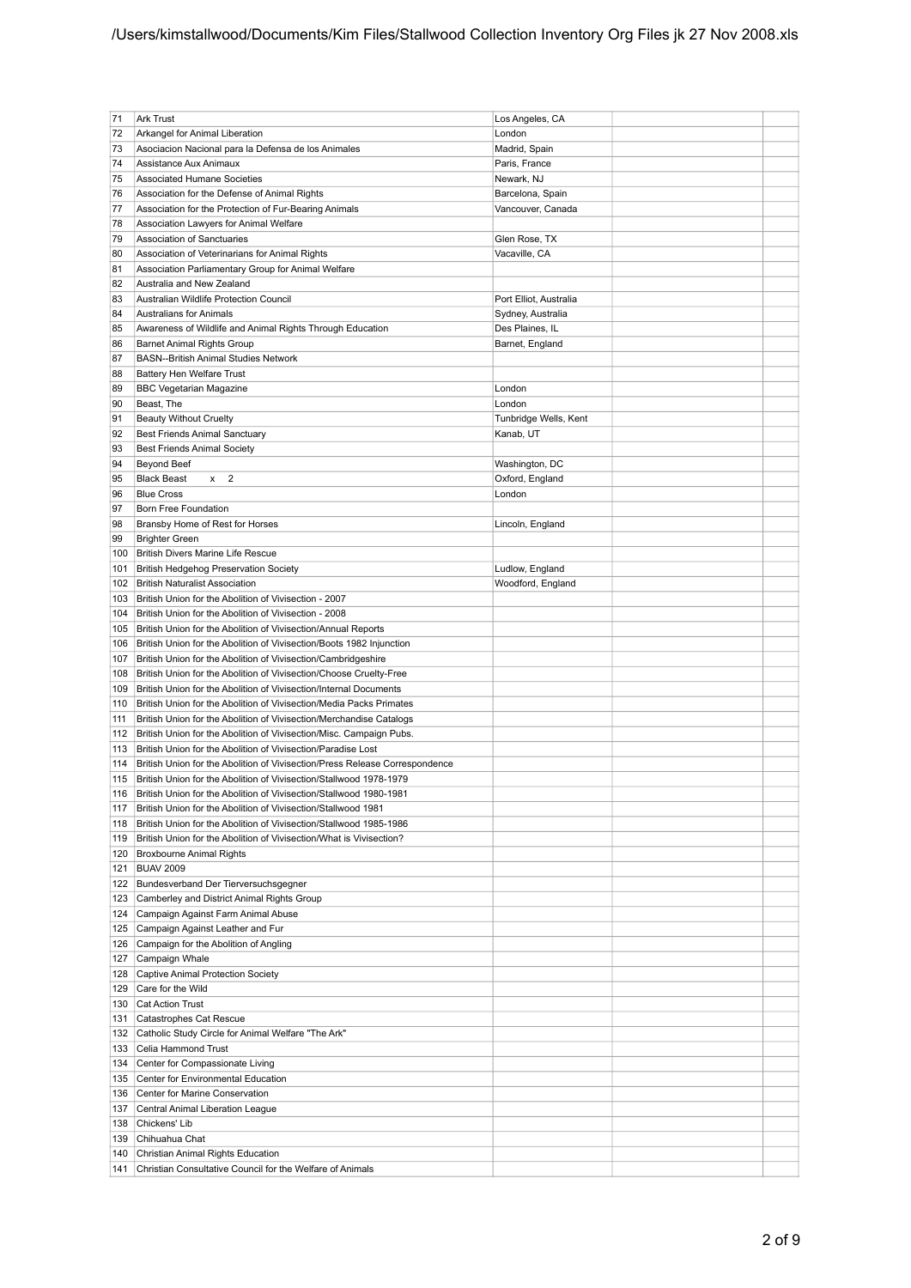| 71         | <b>Ark Trust</b>                                                                      | Los Angeles, CA                      |  |
|------------|---------------------------------------------------------------------------------------|--------------------------------------|--|
| 72         | Arkangel for Animal Liberation                                                        | London                               |  |
| 73         | Asociacion Nacional para la Defensa de los Animales                                   | Madrid, Spain                        |  |
| 74         | Assistance Aux Animaux                                                                | Paris, France                        |  |
| 75         | <b>Associated Humane Societies</b>                                                    | Newark, NJ                           |  |
| 76         | Association for the Defense of Animal Rights                                          | Barcelona, Spain                     |  |
| 77         | Association for the Protection of Fur-Bearing Animals                                 | Vancouver, Canada                    |  |
| 78         | Association Lawyers for Animal Welfare                                                |                                      |  |
| 79         | <b>Association of Sanctuaries</b>                                                     | Glen Rose, TX                        |  |
| 80         | Association of Veterinarians for Animal Rights                                        | Vacaville, CA                        |  |
| 81         | Association Parliamentary Group for Animal Welfare                                    |                                      |  |
| 82         | Australia and New Zealand                                                             |                                      |  |
| 83         | Australian Wildlife Protection Council                                                | Port Elliot, Australia               |  |
| 84         | <b>Australians for Animals</b>                                                        | Sydney, Australia                    |  |
| 85         | Awareness of Wildlife and Animal Rights Through Education                             | Des Plaines, IL                      |  |
| 86         | <b>Barnet Animal Rights Group</b>                                                     | Barnet, England                      |  |
| 87         | <b>BASN--British Animal Studies Network</b>                                           |                                      |  |
| 88         | <b>Battery Hen Welfare Trust</b>                                                      |                                      |  |
| 89         | <b>BBC Vegetarian Magazine</b>                                                        | London                               |  |
| 90         | Beast, The                                                                            | London                               |  |
| 91         | <b>Beauty Without Cruelty</b>                                                         | Tunbridge Wells, Kent                |  |
| 92         | Best Friends Animal Sanctuary                                                         | Kanab, UT                            |  |
| 93         | <b>Best Friends Animal Society</b>                                                    |                                      |  |
| 94         | <b>Beyond Beef</b>                                                                    | Washington, DC                       |  |
| 95         | $x \quad 2$<br><b>Black Beast</b>                                                     | Oxford, England                      |  |
| 96         | <b>Blue Cross</b>                                                                     | London                               |  |
| 97         | Born Free Foundation                                                                  |                                      |  |
| 98         | Bransby Home of Rest for Horses                                                       | Lincoln, England                     |  |
| 99         | <b>Brighter Green</b>                                                                 |                                      |  |
| 100<br>101 | British Divers Marine Life Rescue                                                     |                                      |  |
| 102        | <b>British Hedgehog Preservation Society</b><br><b>British Naturalist Association</b> | Ludlow, England<br>Woodford, England |  |
| 103        | British Union for the Abolition of Vivisection - 2007                                 |                                      |  |
| 104        | British Union for the Abolition of Vivisection - 2008                                 |                                      |  |
| 105        | British Union for the Abolition of Vivisection/Annual Reports                         |                                      |  |
| 106        | British Union for the Abolition of Vivisection/Boots 1982 Injunction                  |                                      |  |
| 107        | British Union for the Abolition of Vivisection/Cambridgeshire                         |                                      |  |
| 108        | British Union for the Abolition of Vivisection/Choose Cruelty-Free                    |                                      |  |
| 109        | British Union for the Abolition of Vivisection/Internal Documents                     |                                      |  |
| 110        | British Union for the Abolition of Vivisection/Media Packs Primates                   |                                      |  |
| 111        | British Union for the Abolition of Vivisection/Merchandise Catalogs                   |                                      |  |
| 112        | British Union for the Abolition of Vivisection/Misc. Campaign Pubs.                   |                                      |  |
| 113        | British Union for the Abolition of Vivisection/Paradise Lost                          |                                      |  |
| 114        | British Union for the Abolition of Vivisection/Press Release Correspondence           |                                      |  |
| 115        | British Union for the Abolition of Vivisection/Stallwood 1978-1979                    |                                      |  |
| 116        | British Union for the Abolition of Vivisection/Stallwood 1980-1981                    |                                      |  |
| 117        | British Union for the Abolition of Vivisection/Stallwood 1981                         |                                      |  |
| 118        | British Union for the Abolition of Vivisection/Stallwood 1985-1986                    |                                      |  |
| 119        | British Union for the Abolition of Vivisection/What is Vivisection?                   |                                      |  |
| 120        | Broxbourne Animal Rights                                                              |                                      |  |
| 121        | <b>BUAV 2009</b>                                                                      |                                      |  |
|            | 122 Bundesverband Der Tierversuchsgegner                                              |                                      |  |
| 123        | Camberley and District Animal Rights Group                                            |                                      |  |
| 124        | Campaign Against Farm Animal Abuse                                                    |                                      |  |
| 125        | Campaign Against Leather and Fur                                                      |                                      |  |
| 126        | Campaign for the Abolition of Angling                                                 |                                      |  |
| 127        | Campaign Whale                                                                        |                                      |  |
| 128        | Captive Animal Protection Society                                                     |                                      |  |
| 129        | Care for the Wild                                                                     |                                      |  |
| 130        | Cat Action Trust                                                                      |                                      |  |
| 131<br>132 | Catastrophes Cat Rescue<br>Catholic Study Circle for Animal Welfare "The Ark"         |                                      |  |
| 133        | Celia Hammond Trust                                                                   |                                      |  |
| 134        | Center for Compassionate Living                                                       |                                      |  |
| 135        | Center for Environmental Education                                                    |                                      |  |
| 136        | Center for Marine Conservation                                                        |                                      |  |
| 137        | Central Animal Liberation League                                                      |                                      |  |
| 138        | Chickens' Lib                                                                         |                                      |  |
| 139        | Chihuahua Chat                                                                        |                                      |  |
| 140        | Christian Animal Rights Education                                                     |                                      |  |
|            | 141 Christian Consultative Council for the Welfare of Animals                         |                                      |  |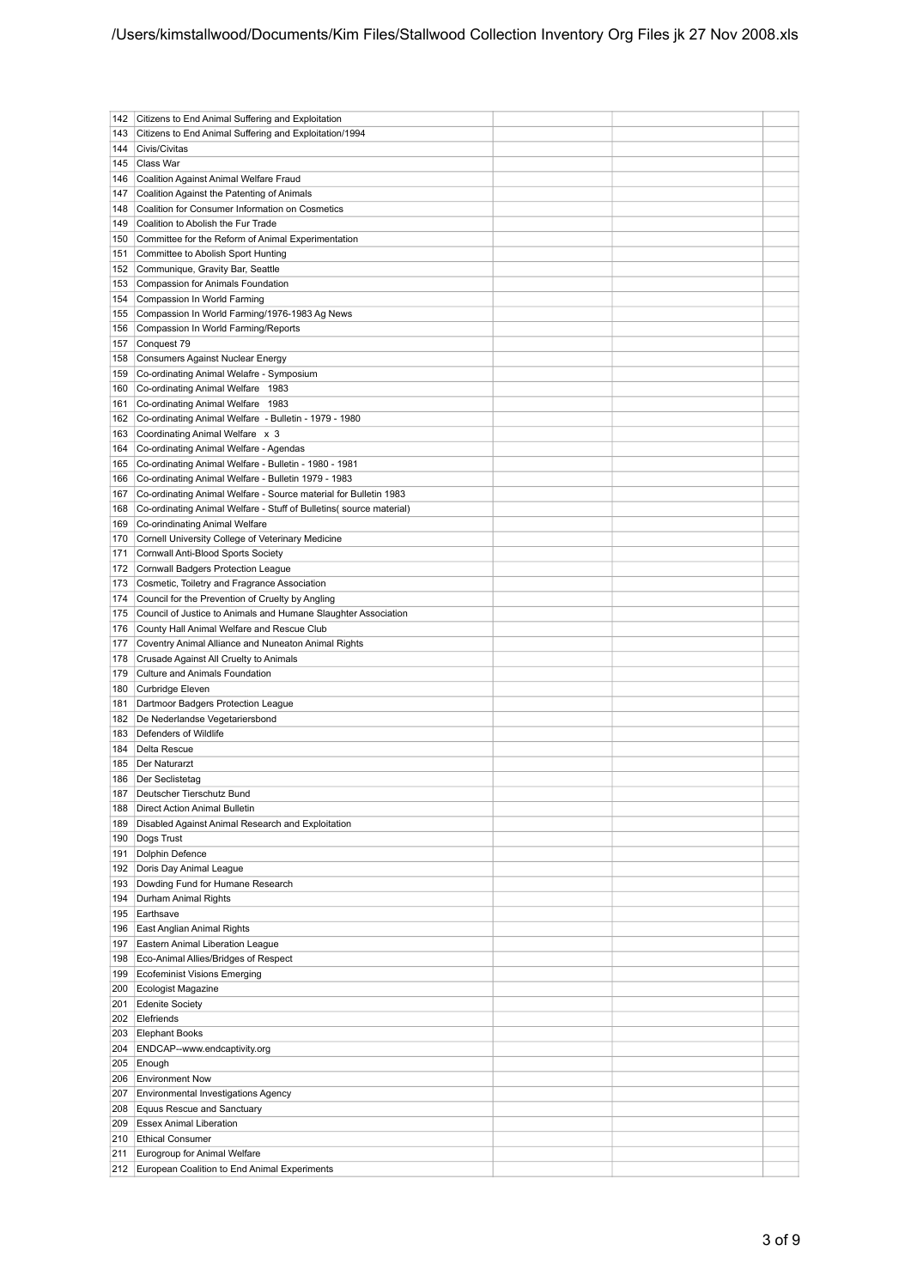| 142 | Citizens to End Animal Suffering and Exploitation                   |  |  |
|-----|---------------------------------------------------------------------|--|--|
|     |                                                                     |  |  |
| 143 | Citizens to End Animal Suffering and Exploitation/1994              |  |  |
| 144 | Civis/Civitas                                                       |  |  |
| 145 | Class War                                                           |  |  |
| 146 | Coalition Against Animal Welfare Fraud                              |  |  |
| 147 | Coalition Against the Patenting of Animals                          |  |  |
| 148 | Coalition for Consumer Information on Cosmetics                     |  |  |
| 149 | Coalition to Abolish the Fur Trade                                  |  |  |
|     |                                                                     |  |  |
| 150 | Committee for the Reform of Animal Experimentation                  |  |  |
| 151 | Committee to Abolish Sport Hunting                                  |  |  |
| 152 | Communique, Gravity Bar, Seattle                                    |  |  |
| 153 | Compassion for Animals Foundation                                   |  |  |
| 154 | Compassion In World Farming                                         |  |  |
| 155 | Compassion In World Farming/1976-1983 Ag News                       |  |  |
|     |                                                                     |  |  |
| 156 | Compassion In World Farming/Reports                                 |  |  |
| 157 | Conquest 79                                                         |  |  |
| 158 | Consumers Against Nuclear Energy                                    |  |  |
| 159 | Co-ordinating Animal Welafre - Symposium                            |  |  |
| 160 | Co-ordinating Animal Welfare 1983                                   |  |  |
| 161 | Co-ordinating Animal Welfare 1983                                   |  |  |
| 162 | Co-ordinating Animal Welfare - Bulletin - 1979 - 1980               |  |  |
|     | Coordinating Animal Welfare x 3                                     |  |  |
| 163 |                                                                     |  |  |
| 164 | Co-ordinating Animal Welfare - Agendas                              |  |  |
| 165 | Co-ordinating Animal Welfare - Bulletin - 1980 - 1981               |  |  |
| 166 | Co-ordinating Animal Welfare - Bulletin 1979 - 1983                 |  |  |
| 167 | Co-ordinating Animal Welfare - Source material for Bulletin 1983    |  |  |
| 168 | Co-ordinating Animal Welfare - Stuff of Bulletins (source material) |  |  |
| 169 | Co-orindinating Animal Welfare                                      |  |  |
|     |                                                                     |  |  |
| 170 | Cornell University College of Veterinary Medicine                   |  |  |
| 171 | Cornwall Anti-Blood Sports Society                                  |  |  |
| 172 | Cornwall Badgers Protection League                                  |  |  |
| 173 | Cosmetic, Toiletry and Fragrance Association                        |  |  |
| 174 | Council for the Prevention of Cruelty by Angling                    |  |  |
| 175 | Council of Justice to Animals and Humane Slaughter Association      |  |  |
| 176 | County Hall Animal Welfare and Rescue Club                          |  |  |
|     |                                                                     |  |  |
| 177 | Coventry Animal Alliance and Nuneaton Animal Rights                 |  |  |
| 178 | Crusade Against All Cruelty to Animals                              |  |  |
| 179 | Culture and Animals Foundation                                      |  |  |
| 180 | Curbridge Eleven                                                    |  |  |
| 181 | Dartmoor Badgers Protection League                                  |  |  |
| 182 | De Nederlandse Vegetariersbond                                      |  |  |
| 183 | Defenders of Wildlife                                               |  |  |
| 184 | Delta Rescue                                                        |  |  |
|     |                                                                     |  |  |
| 185 | Der Naturarzt                                                       |  |  |
| 186 | Der Seclistetag                                                     |  |  |
| 187 | Deutscher Tierschutz Bund                                           |  |  |
| 188 | Direct Action Animal Bulletin                                       |  |  |
| 189 | Disabled Against Animal Research and Exploitation                   |  |  |
| 190 | Dogs Trust                                                          |  |  |
| 191 | Dolphin Defence                                                     |  |  |
|     |                                                                     |  |  |
| 192 | Doris Day Animal League                                             |  |  |
| 193 | Dowding Fund for Humane Research                                    |  |  |
| 194 | Durham Animal Rights                                                |  |  |
| 195 | Earthsave                                                           |  |  |
| 196 | East Anglian Animal Rights                                          |  |  |
| 197 | Eastern Animal Liberation League                                    |  |  |
| 198 | Eco-Animal Allies/Bridges of Respect                                |  |  |
| 199 | Ecofeminist Visions Emerging                                        |  |  |
|     |                                                                     |  |  |
| 200 | Ecologist Magazine                                                  |  |  |
| 201 | Edenite Society                                                     |  |  |
| 202 | Elefriends                                                          |  |  |
| 203 | <b>Elephant Books</b>                                               |  |  |
| 204 | ENDCAP--www.endcaptivity.org                                        |  |  |
| 205 | Enough                                                              |  |  |
| 206 | <b>Environment Now</b>                                              |  |  |
|     |                                                                     |  |  |
| 207 | Environmental Investigations Agency                                 |  |  |
| 208 | <b>Equus Rescue and Sanctuary</b>                                   |  |  |
| 209 | <b>Essex Animal Liberation</b>                                      |  |  |
| 210 | <b>Ethical Consumer</b>                                             |  |  |
| 211 | Eurogroup for Animal Welfare                                        |  |  |
|     | 212 European Coalition to End Animal Experiments                    |  |  |
|     |                                                                     |  |  |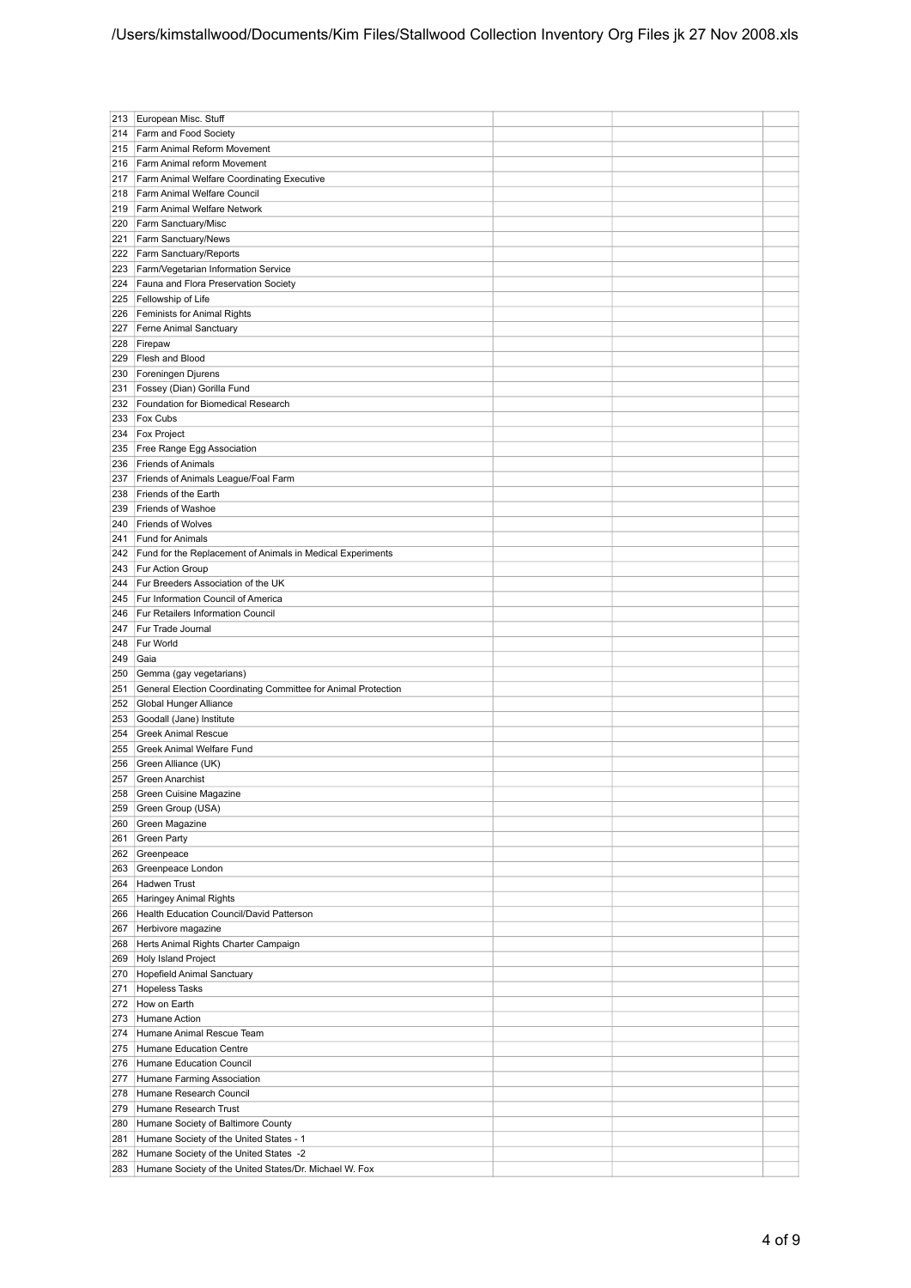| 213 | European Misc. Stuff                                          |  |  |
|-----|---------------------------------------------------------------|--|--|
| 214 | Farm and Food Society                                         |  |  |
| 215 | Farm Animal Reform Movement                                   |  |  |
| 216 | Farm Animal reform Movement                                   |  |  |
| 217 | Farm Animal Welfare Coordinating Executive                    |  |  |
| 218 | Farm Animal Welfare Council                                   |  |  |
| 219 | Farm Animal Welfare Network                                   |  |  |
| 220 |                                                               |  |  |
|     | Farm Sanctuary/Misc                                           |  |  |
| 221 | Farm Sanctuary/News                                           |  |  |
| 222 | Farm Sanctuary/Reports                                        |  |  |
| 223 | Farm/Vegetarian Information Service                           |  |  |
| 224 | Fauna and Flora Preservation Society                          |  |  |
| 225 | Fellowship of Life                                            |  |  |
| 226 | Feminists for Animal Rights                                   |  |  |
| 227 | Ferne Animal Sanctuary                                        |  |  |
| 228 | Firepaw                                                       |  |  |
| 229 | Flesh and Blood                                               |  |  |
| 230 | Foreningen Djurens                                            |  |  |
| 231 | Fossey (Dian) Gorilla Fund                                    |  |  |
| 232 | Foundation for Biomedical Research                            |  |  |
| 233 | <b>Fox Cubs</b>                                               |  |  |
| 234 | <b>Fox Project</b>                                            |  |  |
| 235 | Free Range Egg Association                                    |  |  |
| 236 | Friends of Animals                                            |  |  |
| 237 | Friends of Animals League/Foal Farm                           |  |  |
| 238 | Friends of the Earth                                          |  |  |
| 239 | Friends of Washoe                                             |  |  |
|     |                                                               |  |  |
| 240 | <b>Friends of Wolves</b>                                      |  |  |
| 241 | Fund for Animals                                              |  |  |
| 242 | Fund for the Replacement of Animals in Medical Experiments    |  |  |
| 243 | <b>Fur Action Group</b>                                       |  |  |
| 244 | Fur Breeders Association of the UK                            |  |  |
| 245 | Fur Information Council of America                            |  |  |
| 246 | Fur Retailers Information Council                             |  |  |
| 247 | Fur Trade Journal                                             |  |  |
| 248 | Fur World                                                     |  |  |
| 249 | Gaia                                                          |  |  |
| 250 | Gemma (gay vegetarians)                                       |  |  |
| 251 | General Election Coordinating Committee for Animal Protection |  |  |
| 252 | Global Hunger Alliance                                        |  |  |
| 253 | Goodall (Jane) Institute                                      |  |  |
| 254 | <b>Greek Animal Rescue</b>                                    |  |  |
| 255 | Greek Animal Welfare Fund                                     |  |  |
| 256 | Green Alliance (UK)                                           |  |  |
| 257 | Green Anarchist                                               |  |  |
|     |                                                               |  |  |
| 259 | 258 Green Cuisine Magazine                                    |  |  |
|     | Green Group (USA)                                             |  |  |
| 260 | Green Magazine                                                |  |  |
| 261 | Green Party                                                   |  |  |
| 262 | Greenpeace                                                    |  |  |
| 263 | Greenpeace London                                             |  |  |
| 264 | Hadwen Trust                                                  |  |  |
| 265 | Haringey Animal Rights                                        |  |  |
| 266 | Health Education Council/David Patterson                      |  |  |
| 267 | Herbivore magazine                                            |  |  |
| 268 | Herts Animal Rights Charter Campaign                          |  |  |
| 269 | Holy Island Project                                           |  |  |
| 270 | Hopefield Animal Sanctuary                                    |  |  |
| 271 | Hopeless Tasks                                                |  |  |
| 272 | How on Earth                                                  |  |  |
| 273 | Humane Action                                                 |  |  |
| 274 | Humane Animal Rescue Team                                     |  |  |
| 275 | Humane Education Centre                                       |  |  |
| 276 | Humane Education Council                                      |  |  |
| 277 | Humane Farming Association                                    |  |  |
| 278 | Humane Research Council                                       |  |  |
| 279 | Humane Research Trust                                         |  |  |
| 280 | Humane Society of Baltimore County                            |  |  |
| 281 | Humane Society of the United States - 1                       |  |  |
| 282 | Humane Society of the United States -2                        |  |  |
|     |                                                               |  |  |
| 283 | Humane Society of the United States/Dr. Michael W. Fox        |  |  |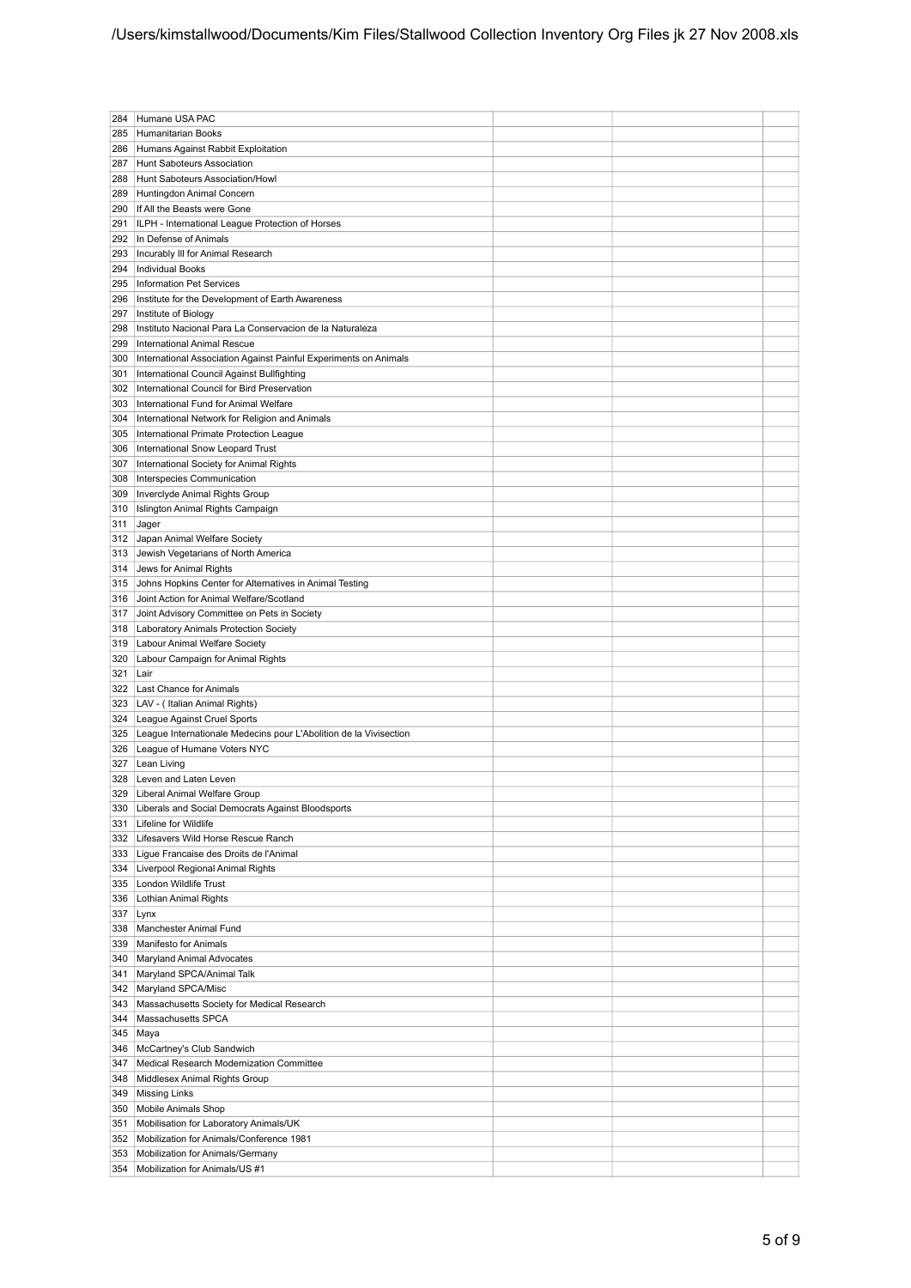| 284        | Humane USA PAC                                                        |  |  |
|------------|-----------------------------------------------------------------------|--|--|
| 285        | Humanitarian Books                                                    |  |  |
| 286        | Humans Against Rabbit Exploitation                                    |  |  |
| 287        | Hunt Saboteurs Association                                            |  |  |
| 288        | Hunt Saboteurs Association/Howl                                       |  |  |
| 289        | Huntingdon Animal Concern                                             |  |  |
| 290        | If All the Beasts were Gone                                           |  |  |
| 291        | ILPH - International League Protection of Horses                      |  |  |
| 292        | In Defense of Animals                                                 |  |  |
| 293        | Incurably III for Animal Research                                     |  |  |
| 294        | Individual Books                                                      |  |  |
| 295        | Information Pet Services                                              |  |  |
| 296        | Institute for the Development of Earth Awareness                      |  |  |
| 297        | Institute of Biology                                                  |  |  |
| 298        | Instituto Nacional Para La Conservacion de la Naturaleza              |  |  |
| 299        | International Animal Rescue                                           |  |  |
| 300        | International Association Against Painful Experiments on Animals      |  |  |
| 301        | International Council Against Bullfighting                            |  |  |
| 302        | International Council for Bird Preservation                           |  |  |
| 303        | International Fund for Animal Welfare                                 |  |  |
| 304        | International Network for Religion and Animals                        |  |  |
| 305        | International Primate Protection League                               |  |  |
| 306        | International Snow Leopard Trust                                      |  |  |
| 307<br>308 | International Society for Animal Rights<br>Interspecies Communication |  |  |
| 309        | Inverclyde Animal Rights Group                                        |  |  |
| 310        | Islington Animal Rights Campaign                                      |  |  |
| 311        | Jager                                                                 |  |  |
| 312        | Japan Animal Welfare Society                                          |  |  |
| 313        | Jewish Vegetarians of North America                                   |  |  |
| 314        | Jews for Animal Rights                                                |  |  |
| 315        | Johns Hopkins Center for Alternatives in Animal Testing               |  |  |
| 316        | Joint Action for Animal Welfare/Scotland                              |  |  |
| 317        | Joint Advisory Committee on Pets in Society                           |  |  |
| 318        | Laboratory Animals Protection Society                                 |  |  |
| 319        | Labour Animal Welfare Society                                         |  |  |
| 320        | Labour Campaign for Animal Rights                                     |  |  |
| 321        | Lair                                                                  |  |  |
| 322        | Last Chance for Animals                                               |  |  |
| 323        | LAV - (Italian Animal Rights)                                         |  |  |
| 324        | League Against Cruel Sports                                           |  |  |
| 325        | League Internationale Medecins pour L'Abolition de la Vivisection     |  |  |
| 326        | League of Humane Voters NYC                                           |  |  |
| 327        | Lean Living                                                           |  |  |
| 328        | Leven and Laten Leven                                                 |  |  |
| 329        | Liberal Animal Welfare Group                                          |  |  |
| 330        | Liberals and Social Democrats Against Bloodsports                     |  |  |
| 331<br>332 | Lifeline for Wildlife<br>Lifesavers Wild Horse Rescue Ranch           |  |  |
|            | 333 Ligue Francaise des Droits de l'Animal                            |  |  |
|            | 334   Liverpool Regional Animal Rights                                |  |  |
| 335        | London Wildlife Trust                                                 |  |  |
| 336        | Lothian Animal Rights                                                 |  |  |
| 337        | Lynx                                                                  |  |  |
| 338        | Manchester Animal Fund                                                |  |  |
| 339        | Manifesto for Animals                                                 |  |  |
| 340        | Maryland Animal Advocates                                             |  |  |
| 341        | Maryland SPCA/Animal Talk                                             |  |  |
| 342        | Maryland SPCA/Misc                                                    |  |  |
| 343        | Massachusetts Society for Medical Research                            |  |  |
| 344        | Massachusetts SPCA                                                    |  |  |
| 345        | Maya                                                                  |  |  |
| 346        | McCartney's Club Sandwich                                             |  |  |
| 347        | Medical Research Modernization Committee                              |  |  |
| 348        | Middlesex Animal Rights Group                                         |  |  |
| 349        | Missing Links                                                         |  |  |
| 350        | Mobile Animals Shop                                                   |  |  |
| 351        | Mobilisation for Laboratory Animals/UK                                |  |  |
| 352        | Mobilization for Animals/Conference 1981                              |  |  |
| 353        | Mobilization for Animals/Germany                                      |  |  |
| 354        | Mobilization for Animals/US #1                                        |  |  |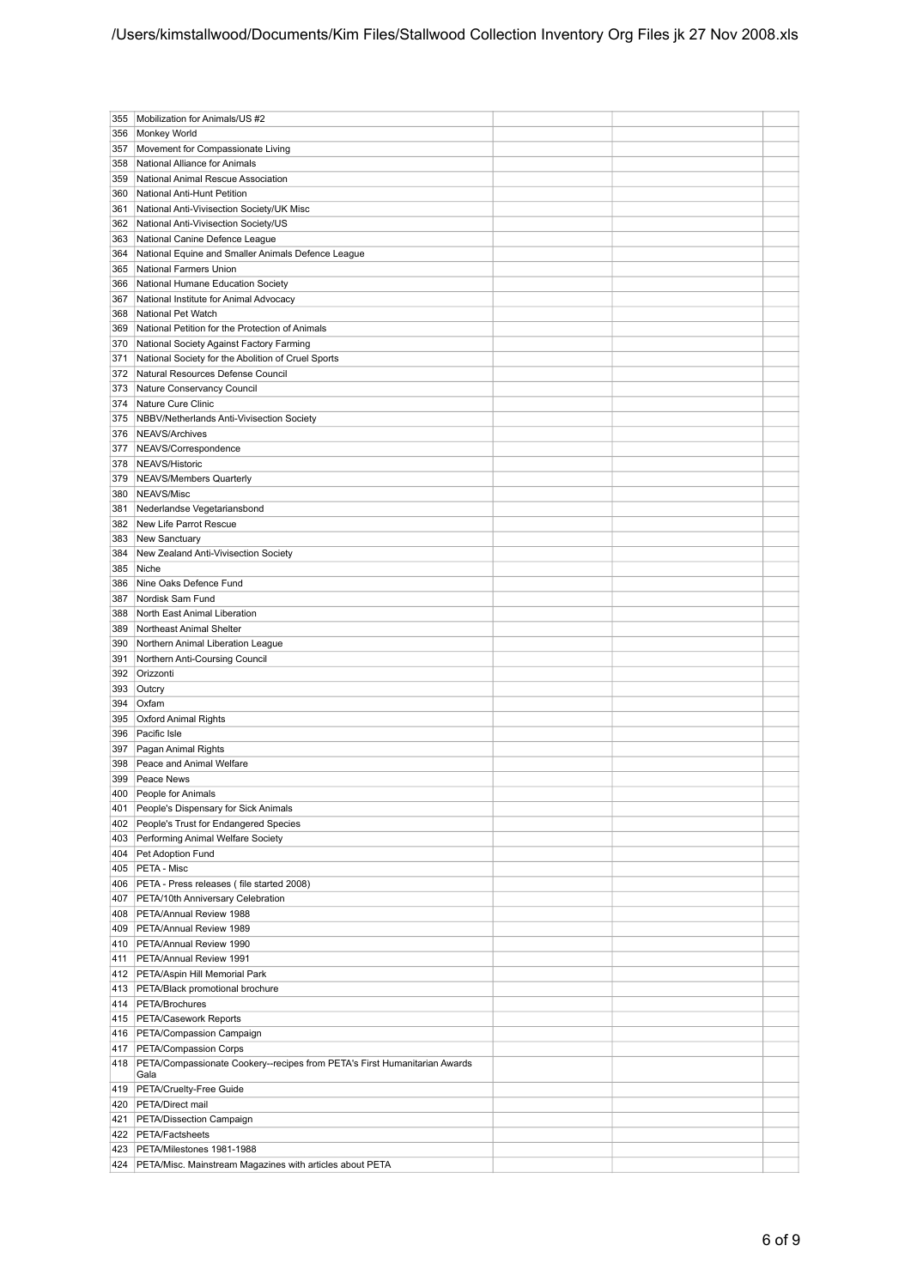| 355 | Mobilization for Animals/US #2                                                        |  |
|-----|---------------------------------------------------------------------------------------|--|
| 356 | Monkey World                                                                          |  |
| 357 | Movement for Compassionate Living                                                     |  |
| 358 | National Alliance for Animals                                                         |  |
| 359 | National Animal Rescue Association                                                    |  |
| 360 | National Anti-Hunt Petition                                                           |  |
| 361 | National Anti-Vivisection Society/UK Misc                                             |  |
| 362 | National Anti-Vivisection Society/US                                                  |  |
|     |                                                                                       |  |
| 363 | National Canine Defence League                                                        |  |
| 364 | National Equine and Smaller Animals Defence League                                    |  |
| 365 | National Farmers Union                                                                |  |
| 366 | National Humane Education Society                                                     |  |
| 367 | National Institute for Animal Advocacy                                                |  |
| 368 | National Pet Watch                                                                    |  |
| 369 | National Petition for the Protection of Animals                                       |  |
| 370 | National Society Against Factory Farming                                              |  |
| 371 | National Society for the Abolition of Cruel Sports                                    |  |
| 372 | Natural Resources Defense Council                                                     |  |
| 373 | Nature Conservancy Council                                                            |  |
| 374 | Nature Cure Clinic                                                                    |  |
| 375 | NBBV/Netherlands Anti-Vivisection Society                                             |  |
| 376 | NEAVS/Archives                                                                        |  |
| 377 | NEAVS/Correspondence                                                                  |  |
| 378 | NEAVS/Historic                                                                        |  |
| 379 | NEAVS/Members Quarterly                                                               |  |
| 380 | NEAVS/Misc                                                                            |  |
| 381 | Nederlandse Vegetariansbond                                                           |  |
| 382 | New Life Parrot Rescue                                                                |  |
| 383 | New Sanctuary                                                                         |  |
| 384 | New Zealand Anti-Vivisection Society                                                  |  |
| 385 | Niche                                                                                 |  |
| 386 | Nine Oaks Defence Fund                                                                |  |
| 387 | Nordisk Sam Fund                                                                      |  |
| 388 | North East Animal Liberation                                                          |  |
| 389 | Northeast Animal Shelter                                                              |  |
| 390 | Northern Animal Liberation League                                                     |  |
| 391 | Northern Anti-Coursing Council                                                        |  |
| 392 | Orizzonti                                                                             |  |
| 393 | Outcry                                                                                |  |
| 394 | Oxfam                                                                                 |  |
| 395 | <b>Oxford Animal Rights</b>                                                           |  |
| 396 | Pacific Isle                                                                          |  |
|     |                                                                                       |  |
|     |                                                                                       |  |
| 397 | Pagan Animal Rights                                                                   |  |
| 398 | Peace and Animal Welfare                                                              |  |
| 399 | Peace News                                                                            |  |
| 400 | People for Animals                                                                    |  |
| 401 | People's Dispensary for Sick Animals                                                  |  |
|     | 402 People's Trust for Endangered Species                                             |  |
| 403 | Performing Animal Welfare Society                                                     |  |
| 404 | Pet Adoption Fund                                                                     |  |
| 405 | PETA - Misc                                                                           |  |
| 406 | PETA - Press releases (file started 2008)                                             |  |
| 407 | PETA/10th Anniversary Celebration                                                     |  |
| 408 | PETA/Annual Review 1988                                                               |  |
| 409 | PETA/Annual Review 1989                                                               |  |
| 410 | PETA/Annual Review 1990                                                               |  |
| 411 | PETA/Annual Review 1991                                                               |  |
| 412 | PETA/Aspin Hill Memorial Park                                                         |  |
| 413 | PETA/Black promotional brochure                                                       |  |
| 414 | PETA/Brochures                                                                        |  |
|     | 415   PETA/Casework Reports                                                           |  |
|     | 416   PETA/Compassion Campaign                                                        |  |
|     | 417   PETA/Compassion Corps                                                           |  |
| 418 | PETA/Compassionate Cookery--recipes from PETA's First Humanitarian Awards             |  |
|     | Gala                                                                                  |  |
| 419 | PETA/Cruelty-Free Guide                                                               |  |
| 420 | PETA/Direct mail                                                                      |  |
| 421 | PETA/Dissection Campaign                                                              |  |
| 422 | <b>PETA/Factsheets</b>                                                                |  |
| 423 | PETA/Milestones 1981-1988<br>PETA/Misc. Mainstream Magazines with articles about PETA |  |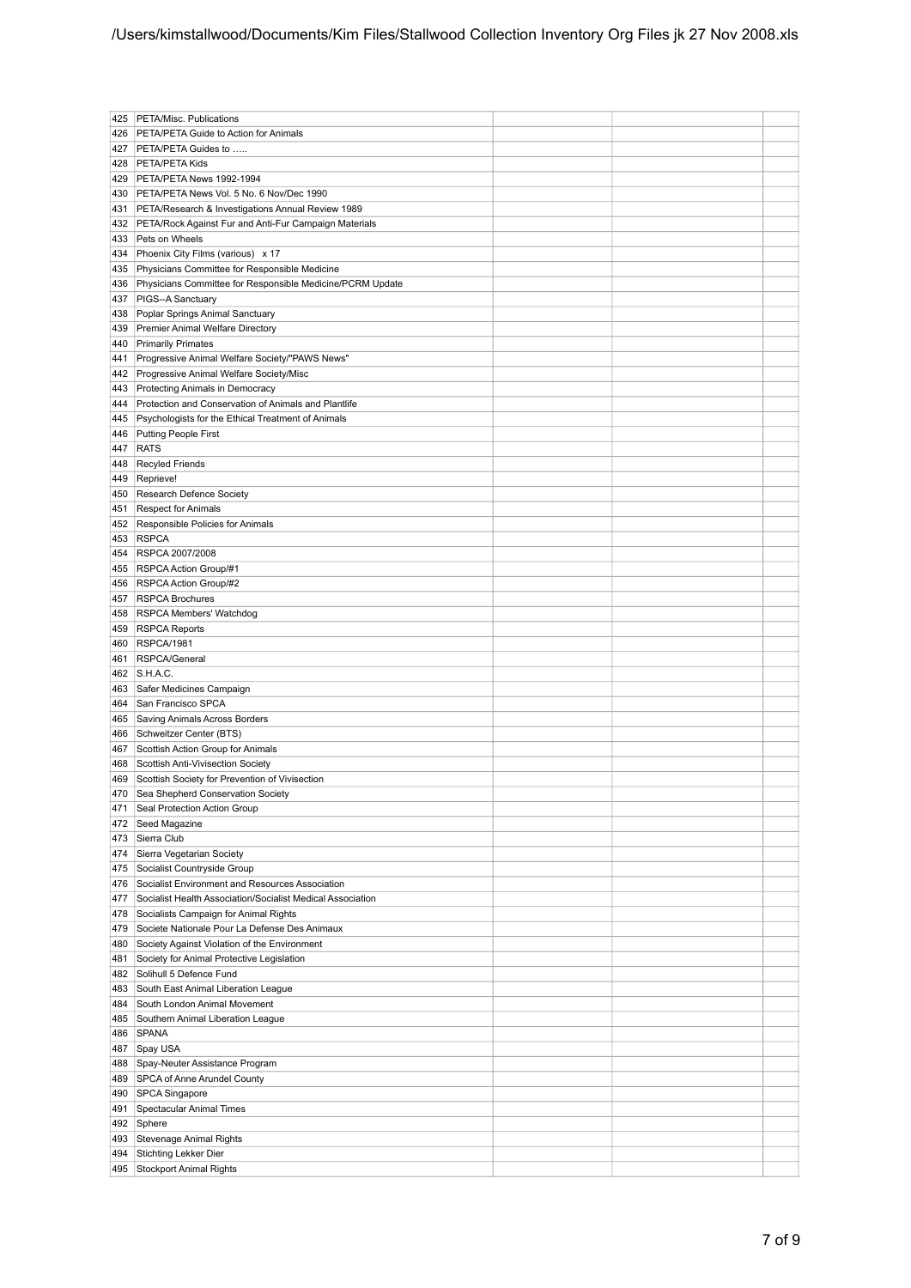| 425 | PETA/Misc. Publications                                    |  |  |
|-----|------------------------------------------------------------|--|--|
| 426 | <b>PETA/PETA Guide to Action for Animals</b>               |  |  |
|     | PETA/PETA Guides to                                        |  |  |
| 427 |                                                            |  |  |
| 428 | PETA/PETA Kids                                             |  |  |
| 429 | PETA/PETA News 1992-1994                                   |  |  |
| 430 | PETA/PETA News Vol. 5 No. 6 Nov/Dec 1990                   |  |  |
| 431 | PETA/Research & Investigations Annual Review 1989          |  |  |
| 432 | PETA/Rock Against Fur and Anti-Fur Campaign Materials      |  |  |
| 433 | Pets on Wheels                                             |  |  |
| 434 | Phoenix City Films (various) x 17                          |  |  |
| 435 | Physicians Committee for Responsible Medicine              |  |  |
| 436 | Physicians Committee for Responsible Medicine/PCRM Update  |  |  |
| 437 | PIGS--A Sanctuary                                          |  |  |
| 438 | Poplar Springs Animal Sanctuary                            |  |  |
| 439 | Premier Animal Welfare Directory                           |  |  |
| 440 | <b>Primarily Primates</b>                                  |  |  |
| 441 | Progressive Animal Welfare Society/"PAWS News"             |  |  |
|     |                                                            |  |  |
| 442 | Progressive Animal Welfare Society/Misc                    |  |  |
| 443 | Protecting Animals in Democracy                            |  |  |
| 444 | Protection and Conservation of Animals and Plantlife       |  |  |
| 445 | Psychologists for the Ethical Treatment of Animals         |  |  |
| 446 | Putting People First                                       |  |  |
| 447 | RATS                                                       |  |  |
| 448 | Recyled Friends                                            |  |  |
| 449 | Reprieve!                                                  |  |  |
| 450 | Research Defence Society                                   |  |  |
| 451 | <b>Respect for Animals</b>                                 |  |  |
| 452 | Responsible Policies for Animals                           |  |  |
| 453 | <b>RSPCA</b>                                               |  |  |
| 454 | RSPCA 2007/2008                                            |  |  |
| 455 | <b>RSPCA Action Group/#1</b>                               |  |  |
|     |                                                            |  |  |
| 456 | RSPCA Action Group/#2                                      |  |  |
| 457 | <b>RSPCA Brochures</b>                                     |  |  |
| 458 | RSPCA Members' Watchdog                                    |  |  |
| 459 | <b>RSPCA Reports</b>                                       |  |  |
| 460 | RSPCA/1981                                                 |  |  |
| 461 | RSPCA/General                                              |  |  |
| 462 | S.H.A.C.                                                   |  |  |
| 463 | Safer Medicines Campaign                                   |  |  |
| 464 | San Francisco SPCA                                         |  |  |
| 465 | Saving Animals Across Borders                              |  |  |
| 466 | Schweitzer Center (BTS)                                    |  |  |
| 467 | Scottish Action Group for Animals                          |  |  |
| 468 | Scottish Anti-Vivisection Society                          |  |  |
|     |                                                            |  |  |
| 469 | Scottish Society for Prevention of Vivisection             |  |  |
| 470 | Sea Shepherd Conservation Society                          |  |  |
| 471 | Seal Protection Action Group                               |  |  |
| 472 | Seed Magazine                                              |  |  |
| 473 | Sierra Club                                                |  |  |
| 474 | Sierra Vegetarian Society                                  |  |  |
| 475 | Socialist Countryside Group                                |  |  |
| 476 | Socialist Environment and Resources Association            |  |  |
| 477 | Socialist Health Association/Socialist Medical Association |  |  |
| 478 | Socialists Campaign for Animal Rights                      |  |  |
| 479 | Societe Nationale Pour La Defense Des Animaux              |  |  |
| 480 | Society Against Violation of the Environment               |  |  |
| 481 | Society for Animal Protective Legislation                  |  |  |
| 482 | Solihull 5 Defence Fund                                    |  |  |
| 483 | South East Animal Liberation League                        |  |  |
| 484 | South London Animal Movement                               |  |  |
|     |                                                            |  |  |
| 485 | Southern Animal Liberation League                          |  |  |
| 486 | SPANA                                                      |  |  |
| 487 | Spay USA                                                   |  |  |
| 488 | Spay-Neuter Assistance Program                             |  |  |
| 489 | SPCA of Anne Arundel County                                |  |  |
| 490 | SPCA Singapore                                             |  |  |
| 491 | <b>Spectacular Animal Times</b>                            |  |  |
| 492 | Sphere                                                     |  |  |
| 493 | Stevenage Animal Rights                                    |  |  |
| 494 | <b>Stichting Lekker Dier</b>                               |  |  |
| 495 | Stockport Animal Rights                                    |  |  |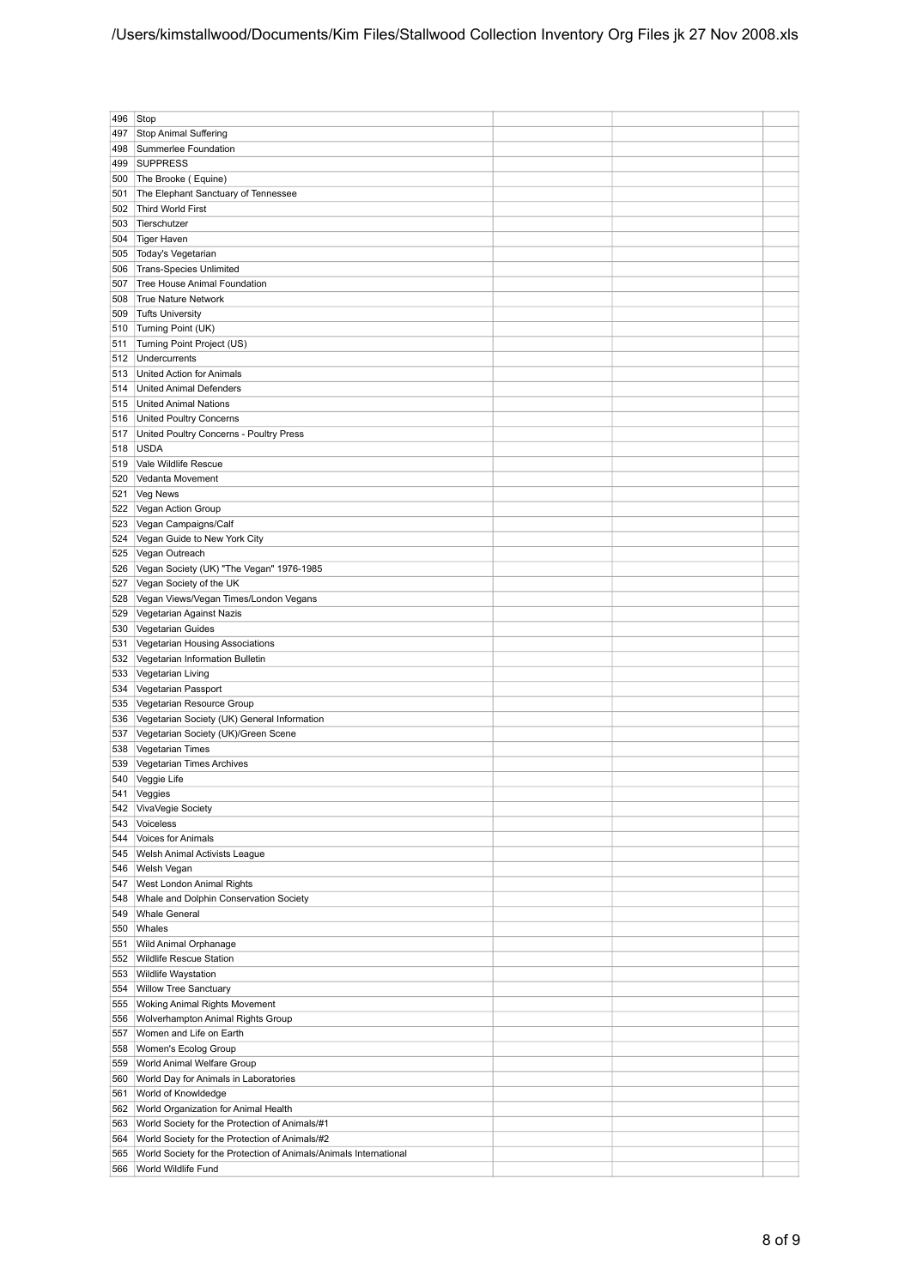| 496 | Stop                                                              |  |  |
|-----|-------------------------------------------------------------------|--|--|
|     |                                                                   |  |  |
| 497 | <b>Stop Animal Suffering</b>                                      |  |  |
| 498 | Summerlee Foundation                                              |  |  |
| 499 | <b>SUPPRESS</b>                                                   |  |  |
| 500 | The Brooke (Equine)                                               |  |  |
| 501 | The Elephant Sanctuary of Tennessee                               |  |  |
|     |                                                                   |  |  |
| 502 | Third World First                                                 |  |  |
| 503 | Tierschutzer                                                      |  |  |
| 504 | Tiger Haven                                                       |  |  |
| 505 | Today's Vegetarian                                                |  |  |
| 506 | <b>Trans-Species Unlimited</b>                                    |  |  |
|     |                                                                   |  |  |
| 507 | Tree House Animal Foundation                                      |  |  |
| 508 | <b>True Nature Network</b>                                        |  |  |
| 509 | <b>Tufts University</b>                                           |  |  |
| 510 | Turning Point (UK)                                                |  |  |
|     |                                                                   |  |  |
| 511 | Turning Point Project (US)                                        |  |  |
| 512 | Undercurrents                                                     |  |  |
| 513 | United Action for Animals                                         |  |  |
| 514 | <b>United Animal Defenders</b>                                    |  |  |
|     |                                                                   |  |  |
| 515 | <b>United Animal Nations</b>                                      |  |  |
| 516 | <b>United Poultry Concerns</b>                                    |  |  |
| 517 | United Poultry Concerns - Poultry Press                           |  |  |
| 518 | <b>USDA</b>                                                       |  |  |
|     |                                                                   |  |  |
| 519 | Vale Wildlife Rescue                                              |  |  |
| 520 | Vedanta Movement                                                  |  |  |
| 521 | Veg News                                                          |  |  |
| 522 | Vegan Action Group                                                |  |  |
| 523 | Vegan Campaigns/Calf                                              |  |  |
|     |                                                                   |  |  |
| 524 | Vegan Guide to New York City                                      |  |  |
| 525 | Vegan Outreach                                                    |  |  |
| 526 | Vegan Society (UK) "The Vegan" 1976-1985                          |  |  |
| 527 | Vegan Society of the UK                                           |  |  |
|     |                                                                   |  |  |
| 528 | Vegan Views/Vegan Times/London Vegans                             |  |  |
| 529 | Vegetarian Against Nazis                                          |  |  |
| 530 | Vegetarian Guides                                                 |  |  |
| 531 | Vegetarian Housing Associations                                   |  |  |
|     |                                                                   |  |  |
| 532 | Vegetarian Information Bulletin                                   |  |  |
| 533 | Vegetarian Living                                                 |  |  |
| 534 | Vegetarian Passport                                               |  |  |
| 535 | Vegetarian Resource Group                                         |  |  |
|     |                                                                   |  |  |
| 536 | Vegetarian Society (UK) General Information                       |  |  |
| 537 | Vegetarian Society (UK)/Green Scene                               |  |  |
| 538 | Vegetarian Times                                                  |  |  |
| 539 | Vegetarian Times Archives                                         |  |  |
| 540 | Veggie Life                                                       |  |  |
|     |                                                                   |  |  |
|     | 541 Veggies                                                       |  |  |
| 542 | VivaVegie Society                                                 |  |  |
| 543 | Voiceless                                                         |  |  |
| 544 | Voices for Animals                                                |  |  |
|     |                                                                   |  |  |
| 545 | Welsh Animal Activists League                                     |  |  |
| 546 | Welsh Vegan                                                       |  |  |
| 547 | West London Animal Rights                                         |  |  |
| 548 | Whale and Dolphin Conservation Society                            |  |  |
| 549 | <b>Whale General</b>                                              |  |  |
|     |                                                                   |  |  |
| 550 | Whales                                                            |  |  |
| 551 | Wild Animal Orphanage                                             |  |  |
| 552 | Wildlife Rescue Station                                           |  |  |
| 553 | <b>Wildlife Waystation</b>                                        |  |  |
| 554 | <b>Willow Tree Sanctuary</b>                                      |  |  |
|     |                                                                   |  |  |
| 555 | <b>Woking Animal Rights Movement</b>                              |  |  |
| 556 | Wolverhampton Animal Rights Group                                 |  |  |
| 557 | Women and Life on Earth                                           |  |  |
| 558 | Women's Ecolog Group                                              |  |  |
|     |                                                                   |  |  |
| 559 | World Animal Welfare Group                                        |  |  |
| 560 | World Day for Animals in Laboratories                             |  |  |
| 561 | World of Knowldedge                                               |  |  |
| 562 | World Organization for Animal Health                              |  |  |
|     |                                                                   |  |  |
| 563 | World Society for the Protection of Animals/#1                    |  |  |
| 564 | World Society for the Protection of Animals/#2                    |  |  |
| 565 | World Society for the Protection of Animals/Animals International |  |  |
| 566 | World Wildlife Fund                                               |  |  |